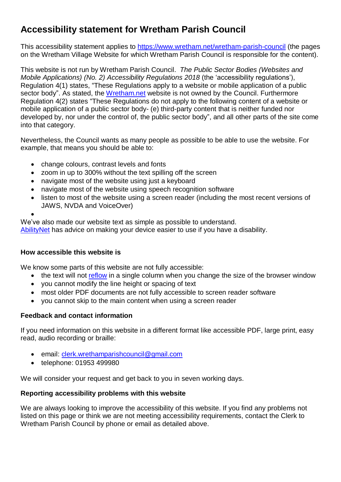# **Accessibility statement for Wretham Parish Council**

This accessibility statement applies to <https://www.wretham.net/wretham-parish-council> (the pages on the Wretham Village Website for which Wretham Parish Council is responsible for the content).

This website is not run by Wretham Parish Council. *The Public Sector Bodies (Websites and Mobile Applications) (No. 2) Accessibility Regulations 2018* (the 'accessibility regulations'), Regulation 4(1) states, "These Regulations apply to a website or mobile application of a public sector body". As stated, the Wretham.net website is not owned by the Council. Furthermore Regulation 4(2) states "These Regulations do not apply to the following content of a website or mobile application of a public sector body- (e) third-party content that is neither funded nor developed by, nor under the control of, the public sector body", and all other parts of the site come into that category.

Nevertheless, the Council wants as many people as possible to be able to use the website. For example, that means you should be able to:

- change colours, contrast levels and fonts
- zoom in up to 300% without the text spilling off the screen
- navigate most of the website using just a keyboard
- navigate most of the website using speech recognition software
- listen to most of the website using a screen reader (including the most recent versions of JAWS, NVDA and VoiceOver)

•

We've also made our website text as simple as possible to understand.

[AbilityNet](https://mcmw.abilitynet.org.uk/) has advice on making your device easier to use if you have a disability.

## **How accessible this website is**

We know some parts of this website are not fully accessible:

- the text will not [reflow](mailto:clerk.wrethamparishcouncil@gmail.com) in a single column when you change the size of the browser window
- you cannot modify the line height or spacing of text
- most older PDF documents are not fully accessible to screen reader software
- you cannot skip to the main content when using a screen reader

## **Feedback and contact information**

If you need information on this website in a different format like accessible PDF, large print, easy read, audio recording or braille:

- email: [clerk.wrethamparishcouncil@gmail.com](mailto:clerk.wrethamparishcouncil@gmail.com)
- telephone: 01953 499980

We will consider your request and get back to you in seven working days.

## **Reporting accessibility problems with this website**

We are always looking to improve the accessibility of this website. If you find any problems not listed on this page or think we are not meeting accessibility requirements, contact the Clerk to Wretham Parish Council by phone or email as detailed above.